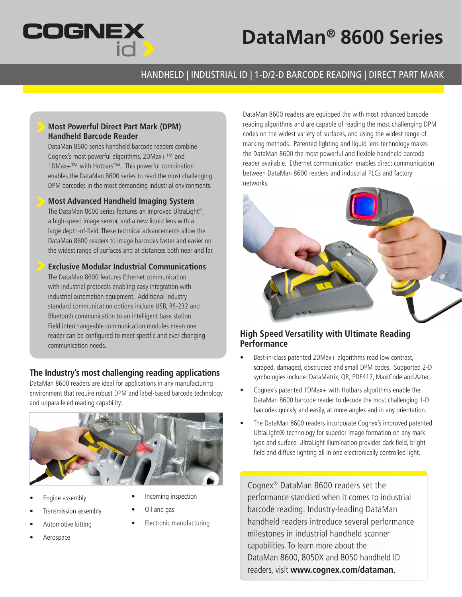

# **DataMan® 8600 Series**

## HANDHELD | INDUSTRIAL ID | 1-D/2-D BARCODE READING | DIRECT PART MARK

### **Most Powerful Direct Part Mark (DPM) Handheld Barcode Reader**

DataMan 8600 series handheld barcode readers combine Cognex's most powerful algorithms, 2DMax+™ and 1DMax+™ with Hotbars™. This powerful combination enables the DataMan 8600 series to read the most challenging DPM barcodes in the most demanding industrial environments.

**Most Advanced Handheld Imaging System** 

The DataMan 8600 series features an improved UltraLight®, a high-speed image sensor, and a new liquid lens with a large depth-of-field. These technical advancements allow the DataMan 8600 readers to image barcodes faster and easier on the widest range of surfaces and at distances both near and far.

**Exclusive Modular Industrial Communications** The DataMan 8600 features Ethernet communication with industrial protocols enabling easy integration with industrial automation equipment. Additional industry standard communication options include USB, RS-232 and Bluetooth communication to an intelligent base station. Field interchangeable communication modules mean one reader can be configured to meet specific and ever changing communication needs.

### **The Industry's most challenging reading applications**

DataMan 8600 readers are ideal for applications in any manufacturing environment that require robust DPM and label-based barcode technology and unparalleled reading capability:



- Engine assembly
- Incoming inspection

• Oil and gas

- Transmission assembly
- Automotive kitting
- Aerospace

• Electronic manufacturing

DataMan 8600 readers are equipped the with most advanced barcode reading algorithms and are capable of reading the most challenging DPM codes on the widest variety of surfaces, and using the widest range of marking methods. Patented lighting and liquid lens technology makes the DataMan 8600 the most powerful and flexible handheld barcode reader available. Ethernet communication enables direct communication between DataMan 8600 readers and industrial PLCs and factory networks.



### **High Speed Versatility with Ultimate Reading Performance**

- Best-in-class patented 2DMax+ algorithms read low contrast, scraped, damaged, obstructed and small DPM codes. Supported 2-D symbologies include: DataMatrix, QR, PDF417, MaxiCode and Aztec.
- Cognex's patented 1DMax+ with Hotbars algorithms enable the DataMan 8600 barcode reader to decode the most challenging 1-D barcodes quickly and easily, at more angles and in any orientation.
- The DataMan 8600 readers incorporate Cognex's improved patented UltraLight® technology for superior image formation on any mark type and surface. UltraLight illumination provides dark field, bright field and diffuse lighting all in one electronically controlled light.

Cognex® DataMan 8600 readers set the performance standard when it comes to industrial barcode reading. Industry-leading DataMan handheld readers introduce several performance milestones in industrial handheld scanner capabilities. To learn more about the DataMan 8600, 8050X and 8050 handheld ID readers, visit **www.cognex.com/dataman**.